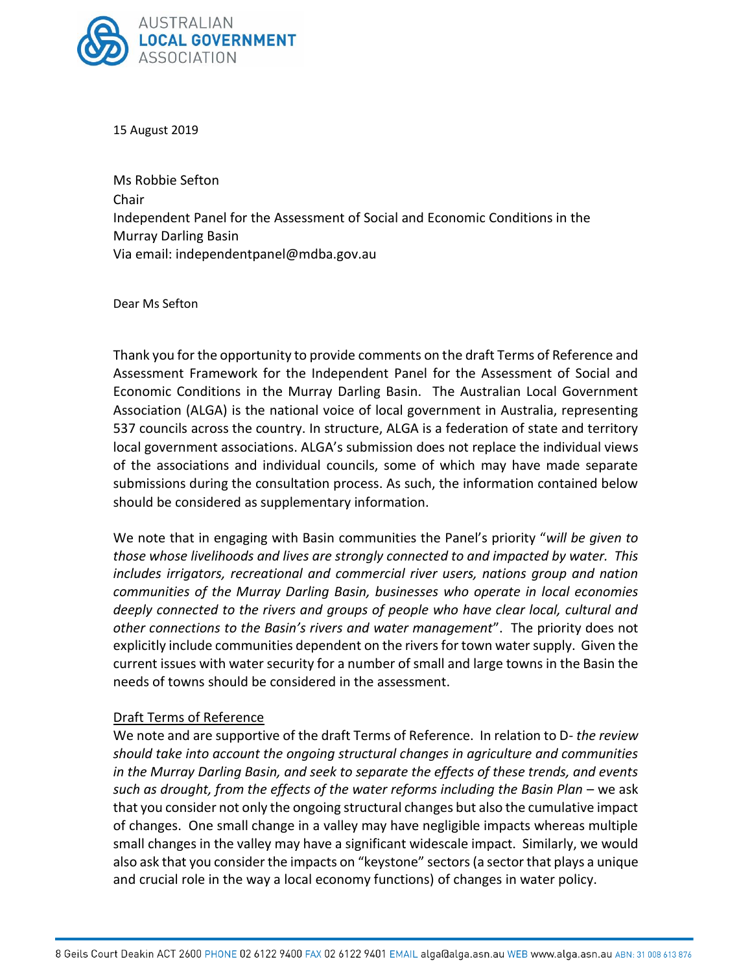

15 August 2019

Ms Robbie Sefton Chair Independent Panel for the Assessment of Social and Economic Conditions in the Murray Darling Basin Via email: [independentpanel@mdba.gov.au](mailto:independentpanel@mdba.gov.au)

Dear Ms Sefton

Thank you for the opportunity to provide comments on the draft Terms of Reference and Assessment Framework for the Independent Panel for the Assessment of Social and Economic Conditions in the Murray Darling Basin. The Australian Local Government Association (ALGA) is the national voice of local government in Australia, representing 537 councils across the country. In structure, ALGA is a federation of state and territory local government associations. ALGA's submission does not replace the individual views of the associations and individual councils, some of which may have made separate submissions during the consultation process. As such, the information contained below should be considered as supplementary information.

We note that in engaging with Basin communities the Panel's priority "*will be given to those whose livelihoods and lives are strongly connected to and impacted by water. This includes irrigators, recreational and commercial river users, nations group and nation communities of the Murray Darling Basin, businesses who operate in local economies deeply connected to the rivers and groups of people who have clear local, cultural and other connections to the Basin's rivers and water management*". The priority does not explicitly include communities dependent on the rivers for town water supply. Given the current issues with water security for a number of small and large towns in the Basin the needs of towns should be considered in the assessment.

## Draft Terms of Reference

We note and are supportive of the draft Terms of Reference. In relation to D*- the review should take into account the ongoing structural changes in agriculture and communities in the Murray Darling Basin, and seek to separate the effects of these trends, and events*  such as drought, from the effects of the water reforms including the Basin Plan – we ask that you consider not only the ongoing structural changes but also the cumulative impact of changes. One small change in a valley may have negligible impacts whereas multiple small changes in the valley may have a significant widescale impact. Similarly, we would also ask that you consider the impacts on "keystone" sectors (a sector that plays a unique and crucial role in the way a local economy functions) of changes in water policy.